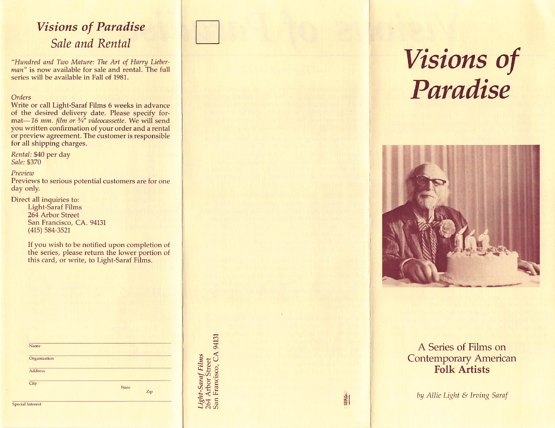## Visions of Paradise Sale and Rental

"Hundred and Two Mature: The Art of Harry Lieberman" is now available for sale and rental. The full series will be available in Fall of 1981.

### Orders

Write or call Light-Saraf Films 6 weeks in advance of the desired delivery date. Please specify for mat—16 mm. film or  $\frac{3}{4}$ " videocassette. We will send you written confirmation of your order and a rental or preview agreement. The customer is responsible for all shipping charges.

Rental: \$40 per day Sale: \$370

#### Preview

Previews to serious potential customers are for one day only.

Direct all inquiries to:

Light-Saraf Films 264 Arbor Street San Francisco, CA, 94131 (415) 584-3521

If you wish to be notified upon completion of the series, please return the lower portion of this card, or write, to Light-Saraf Films.

| Name         |              |
|--------------|--------------|
| Organization |              |
| Address      |              |
| City         | <b>State</b> |
|              | Zip          |

O N e vez 6 - *Saru*<br>tbor<br>ranc:  $\vec{u}$  $-$  3  $\alpha$ 

# Visions of Paradise



### A Series of Films on Contemporary American Folk Artists

by Allie Light & Irving Saraf

長 1